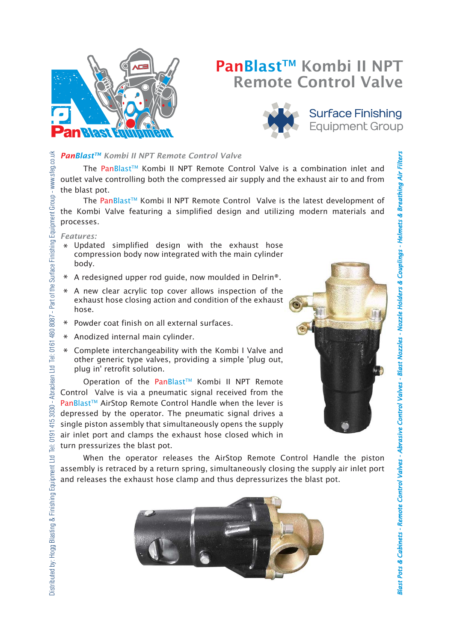

# PanBlast<sup>™</sup> Kombi II NPT Remote Control Valve



# **Surface Finishing Equipment Group**

# 415 3030 - Abraclean Ltd Tei: 0161 480 8087 - Part of the Surface Finishing Equipment Group - www.sfeg.co.uk Distributed by: Hogg Blasting & Finishing Equipment Ltd Tel: 0191 415 3030 - Abraclean Ltd Tel: 0161 480 8087 - Part of the Surface Finishing Equipment Group - www.sfeg.co.uk*PanBlastTM Kombi II NPT Remote Control Valve*

The PanBlast™ Kombi II NPT Remote Control Valve is a combination inlet and outlet valve controlling both the compressed air supply and the exhaust air to and from the blast pot.

The PanBlast™ Kombi II NPT Remote Control Valve is the latest development of the Kombi Valve featuring a simplified design and utilizing modern materials and processes.

*Features:*

Distributed by: Hogg Blasting & Finishing Equipment Ltd Tel: 0191

- Updated simplified design with the exhaust hose \* compression body now integrated with the main cylinder body.
- A redesigned upper rod guide, now moulded in Delrin®. \*
- A new clear acrylic top cover allows inspection of the \* exhaust hose closing action and condition of the exhaust hose.
- Powder coat finish on all external surfaces. \*
- Anodized internal main cylinder. \*
- Complete interchangeability with the Kombi I Valve and \* other generic type valves, providing a simple 'plug out, plug in' retrofit solution.

Operation of the PanBlast™ Kombi II NPT Remote Control Valve is via a pneumatic signal received from the PanBlast™ AirStop Remote Control Handle when the lever is depressed by the operator. The pneumatic signal drives a single piston assembly that simultaneously opens the supply air inlet port and clamps the exhaust hose closed which in turn pressurizes the blast pot.



**Blast Pots & Cabinets -**

*binets Remote Control Valves - Abrasive Control Valves - Blast Nozzles - Nozzle Holders & Couplings - Helmets & Breathing Air Filters A*

Blast Pots & Cabinets - Remote Control Valves - Abrasive Control Valves - Blast Nozzles - Nozzle Holders & Couplings - Helmets & Breathing Air Filters

*brasive* 

When the operator releases the AirStop Remote Control Handle the piston assembly is retraced by a return spring, simultaneously closing the supply air inlet port and releases the exhaust hose clamp and thus depressurizes the blast pot.

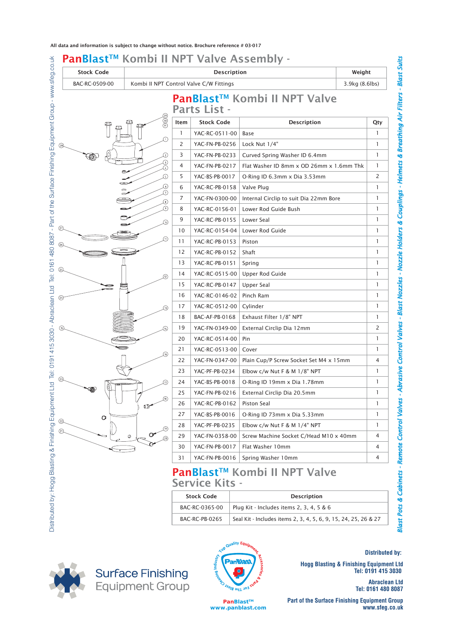| PanBlast™ Kombi II NPT Valve Assembly - |               |                                                           |                       |                                                                 |              |
|-----------------------------------------|---------------|-----------------------------------------------------------|-----------------------|-----------------------------------------------------------------|--------------|
| <b>Stock Code</b>                       |               | Description                                               |                       |                                                                 | Weight       |
| BAC-RC-0509-00                          |               | Kombi II NPT Control Valve C/W Fittings<br>3.9kg (8.6lbs) |                       |                                                                 |              |
|                                         |               |                                                           | <b>Parts List -</b>   | PanBlast™ Kombi II NPT Valve                                    |              |
|                                         | 989           | Item                                                      | <b>Stock Code</b>     | <b>Description</b>                                              | Qty          |
|                                         |               | $\mathbf{1}$                                              | YAC-RC-0511-00        | Base                                                            | $\mathbf{1}$ |
|                                         | ⋒             | 2                                                         | YAC-FN-PB-0256        | Lock Nut 1/4"                                                   | $\mathbf{1}$ |
|                                         | Ω             | 3                                                         | YAC-FN-PB-0233        | Curved Spring Washer ID 6.4mm                                   | $\mathbf{1}$ |
|                                         | ල<br>ල        | 4                                                         | YAC-FN-PB-0217        | Flat Washer ID 8mm x OD 26mm x 1.6mm Thk                        | 1            |
|                                         | D             | 5                                                         | YAC-BS-PB-0017        | O-Ring ID 6.3mm x Dia 3.53mm                                    | 2            |
|                                         | ⊙             | 6                                                         | YAC-RC-PB-0158        | Valve Plug                                                      | $\mathbf{1}$ |
|                                         | Ω<br>⊛        | 7                                                         | YAC-FN-0300-00        | Internal Circlip to suit Dia 22mm Bore                          | 1            |
|                                         | ல             | 8                                                         | YAC-RC-0156-01        | Lower Rod Guide Bush                                            | $\mathbf{1}$ |
|                                         | ∞             | 9                                                         | YAC-RC-PB-0155        | Lower Seal                                                      | $\mathbf{1}$ |
| (27)                                    |               | 10                                                        | YAC-RC-0154-04        | Lower Rod Guide                                                 | $\mathbf{1}$ |
| <sup>(26)</sup>                         | <u>(</u> iii) | 11                                                        | YAC-RC-PB-0153        | Piston                                                          | $\mathbf{1}$ |
|                                         |               | 12                                                        | YAC-RC-PB-0152        | Shaft                                                           | $\mathbf{1}$ |
|                                         |               | 13                                                        | YAC-RC-PB-0151        | Spring                                                          | $\mathbf{1}$ |
|                                         | ∞             | 14                                                        | YAC-RC-0515-00        | Upper Rod Guide                                                 | $\mathbf{1}$ |
|                                         |               | 15                                                        | YAC-RC-PB-0147        | Upper Seal                                                      | 1            |
| ②                                       |               | 16                                                        | YAC-RC-0146-02        | Pinch Ram                                                       | $\mathbf{1}$ |
|                                         | 舟             | 17                                                        | YAC-RC-0512-00        | Cylinder                                                        | $\mathbf{1}$ |
|                                         |               | 18                                                        | BAC-AF-PB-0168        | Exhaust Filter 1/8" NPT                                         | $\mathbf{1}$ |
|                                         | (14)          | 19                                                        | YAC-FN-0349-00        | External Circlip Dia 12mm                                       | 2            |
|                                         |               | 20                                                        | YAC-RC-0514-00        | Pin                                                             | $\mathbf{1}$ |
|                                         | 痫             | 21                                                        | YAC-RC-0513-00        | Cover                                                           | $\mathbf{1}$ |
|                                         |               | 22                                                        | YAC-FN-0347-00        | Plain Cup/P Screw Socket Set M4 x 15mm                          | 4            |
|                                         |               | 23                                                        | YAC-PF-PB-0234        | Elbow c/w Nut F & M 1/8" NPT                                    | 1            |
|                                         | (17)          | 24                                                        | YAC-BS-PB-0018        | O-Ring ID 19mm x Dia 1.78mm                                     | $\mathbf{1}$ |
|                                         |               | 25                                                        | YAC-FN-PB-0216        | External Circlip Dia 20.5mm                                     | $\mathbf{1}$ |
|                                         | ⚾<br>œ        | 26                                                        | YAC-RC-PB-0162        | <b>Piston Seal</b>                                              | 1            |
| $\circ$                                 |               | 27                                                        | YAC-BS-PB-0016        | O-Ring ID 73mm x Dia 5.33mm                                     | $\mathbf{1}$ |
|                                         | (19)          | 28                                                        | YAC-PF-PB-0235        | Elbow c/w Nut F & M 1/4" NPT                                    | 1            |
| (21)                                    | Ø             | 29                                                        | YAC-FN-0358-00        | Screw Machine Socket C/Head M10 x 40mm                          | 4            |
|                                         |               | 30                                                        | YAC-FN-PB-0017        | Flat Washer 10mm                                                | 4            |
|                                         |               | 31                                                        | YAC-FN-PB-0016        | Spring Washer 10mm                                              | 4            |
|                                         |               |                                                           | <b>Service Kits -</b> | <b>PanBlast™ Kombi II NPT Valve</b>                             |              |
|                                         |               |                                                           | <b>Stock Code</b>     | <b>Description</b>                                              |              |
|                                         |               |                                                           | BAC-RC-0365-00        | Plug Kit - Includes items 2, 3, 4, 5 & 6                        |              |
|                                         |               |                                                           | BAC-RC-PB-0265        |                                                                 |              |
|                                         |               |                                                           |                       | Seal Kit - Includes items 2, 3, 4, 5, 6, 9, 15, 24, 25, 26 & 27 |              |

## Service Kits -

|                   | <b>Service Kits -</b>         |                                               | PanBlast™ Kombi II NPT Valve                                             | Cabinets               |  |  |
|-------------------|-------------------------------|-----------------------------------------------|--------------------------------------------------------------------------|------------------------|--|--|
| <b>Stock Code</b> |                               | <b>Description</b>                            |                                                                          |                        |  |  |
|                   | BAC-RC-0365-00                | Plug Kit - Includes items 2, 3, 4, 5 & 6      |                                                                          |                        |  |  |
|                   | BAC-RC-PB-0265                |                                               | Seal Kit - Includes items 2, 3, 4, 5, 6, 9, 15, 24, 25, 26 & 27          |                        |  |  |
| ing               | Top Quality Eq.               | ASSESSMENT POLICE AND DESCRIPTION OF STRAIGHT | <b>Hogg Blasting &amp; Finishing Equipment Ltd</b><br>Tel: 0191 415 3030 | <b>Distributed by:</b> |  |  |
| OUD               |                               |                                               | <b>Abraclean Ltd</b><br>Tel: 0161 480 8087                               |                        |  |  |
|                   | PanBlast™<br>www.panblast.com |                                               | <b>Part of the Surface Finishing Equipment Group</b><br>www.sfeg.co.uk   |                        |  |  |



Surface Finishing<br>Equipment Group



**PanBlast™ www.panblast.com**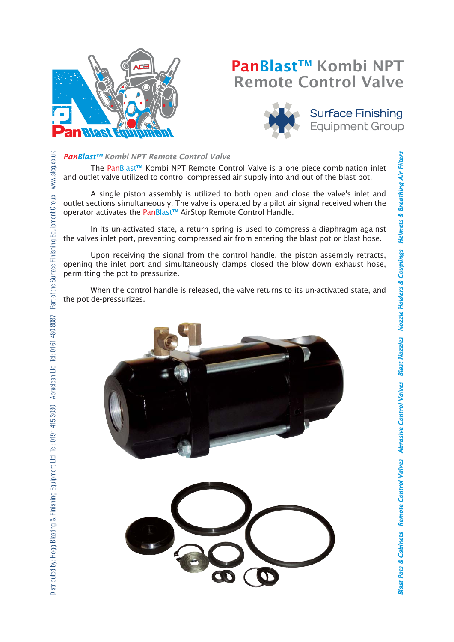

Distributed by: Hogg Blasting & Finishing Equipment Ltd Tel: 0191 415 3030 - Abraclean Ltd Tel: 0161 480 8087 - Part of the Surface Finishing Equipment Group - www.sfeg.co.uk

Distributed by: Hogg Blasting & Finishing Equipment Ltd Tel: 0191 415 3030 - Abraclean Ltd Tel: 0161 480 8087 - Part of the Surface Finishing Equipment Group - www.sfeg.co.uk

# PanBlast™ Kombi NPT Remote Control Valve



# **Surface Finishing Equipment Group**

### *PanBlast™ Kombi NPT Remote Control Valve*

The PanBlast<sup>™</sup> Kombi NPT Remote Control Valve is a one piece combination inlet and outlet valve utilized to control compressed air supply into and out of the blast pot.

A single piston assembly is utilized to both open and close the valve's inlet and outlet sections simultaneously. The valve is operated by a pilot air signal received when the operator activates the PanBlast™ AirStop Remote Control Handle.

In its un-activated state, a return spring is used to compress a diaphragm against the valves inlet port, preventing compressed air from entering the blast pot or blast hose.

Upon receiving the signal from the control handle, the piston assembly retracts, opening the inlet port and simultaneously clamps closed the blow down exhaust hose, permitting the pot to pressurize.

When the control handle is released, the valve returns to its un-activated state, and the pot de-pressurizes.

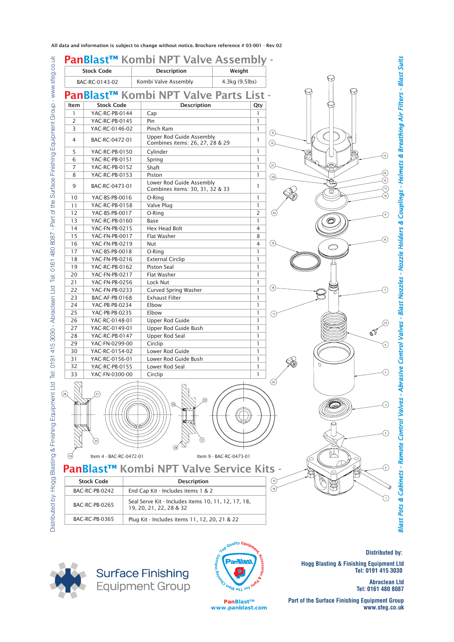All data and information is subject to change without notice. Brochure reference # 03-001 - Rev 02







**Distributed by:** 

**Hogg Blasting & Finishing Equipment Ltd Tel: 0191 415 3030** 

> **Abraclean Ltd Tel: 0161 480 8087**

**PanBlast™ www.panblast.com**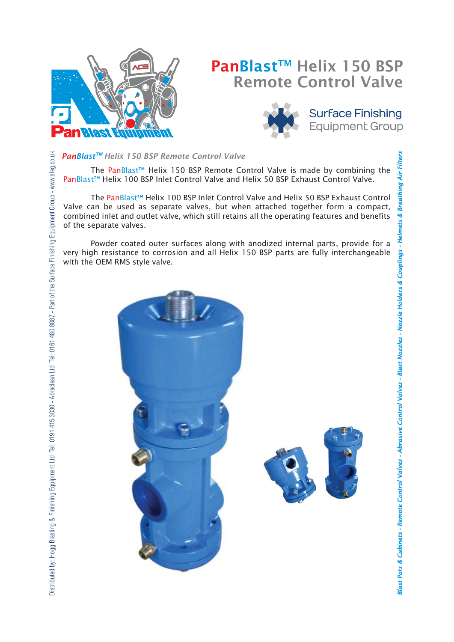

# PanBlast<sup>™</sup> Helix 150 BSP Remote Control Valve



**Surface Finishing Equipment Group** 

**Blast Pots & Cabinets -**

*binets Remote Control Valves - Abrasive Control Valves - Blast Nozzles - Nozzle Holders & Couplings - Helmets & Breathing Air Filters A*

Blast Pots & Cabinets - Remote Control Valves - Abrasive Control Valves - Blast Nozzles - Nozzle Holders & Couplings - He

*brasive* 

ing Air

ts & Breath

### *PanBlastTM Helix 150 BSP Remote Control Valve*

 The PanBlast™ Helix 150 BSP Remote Control Valve is made by combining the PanBlast™ Helix 100 BSP Inlet Control Valve and Helix 50 BSP Exhaust Control Valve.

 The PanBlast™ Helix 100 BSP Inlet Control Valve and Helix 50 BSP Exhaust Control Valve can be used as separate valves, but when attached together form a compact, combined inlet and outlet valve, which still retains all the operating features and benefits of the separate valves.

 Powder coated outer surfaces along with anodized internal parts, provide for a very high resistance to corrosion and all Helix 150 BSP parts are fully interchangeable with the OEM RMS style valve.

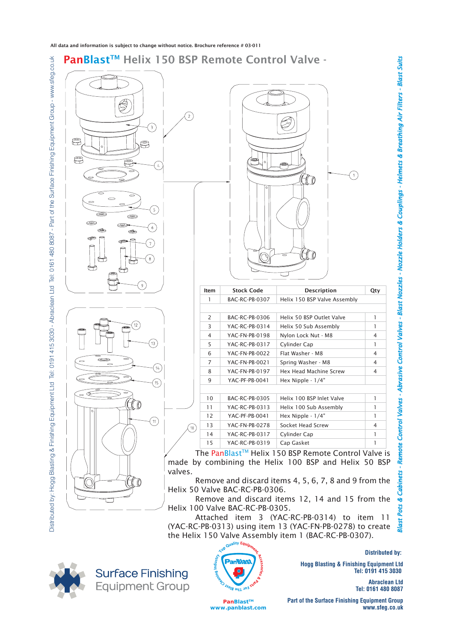







**Distributed by:** 

**Hogg Blasting & Finishing Equipment Ltd Tel: 0191 415 3030** 

> **Abraclean Ltd Tel: 0161 480 8087**

**PanBlast™ www.panblast.com**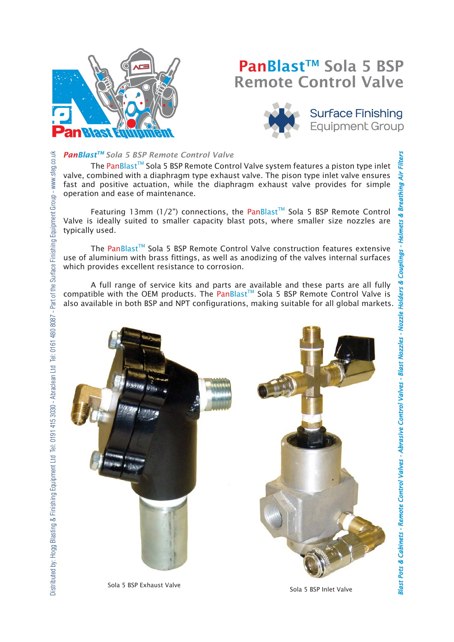

# PanBlast™ Sola 5 BSP Remote Control Valve



# **Surface Finishing Equipment Group**

# Distributed by: Hoog Blasting & Finishing Equipment Ltd Tel: 0191 415 3030 - Abraclean Ltd Tel: 0161 480 8087 - Part of the Surface Finishing Equipment Group - www.sfeg.co.uk *PanBlastTM Sola 5 BSP Remote Control Valve* Distributed by: Hogg Blasting & Finishing Equipment Ltd Tel: 0191 415 3030 - Abraclean Ltd Tel: 0161 480 8087 - Part of the Surface Finishing Equipment Group - www.sfeg.co.uk

The PanBlast<sup>™</sup> Sola 5 BSP Remote Control Valve system features a piston type inlet valve, combined with a diaphragm type exhaust valve. The pison type inlet valve ensures fast and positive actuation, while the diaphragm exhaust valve provides for simple operation and ease of maintenance.

Featuring 13mm (1/2") connections, the PanBlast<sup>TM</sup> Sola 5 BSP Remote Control Valve is ideally suited to smaller capacity blast pots, where smaller size nozzles are typically used.

The PanBlast™ Sola 5 BSP Remote Control Valve construction features extensive use of aluminium with brass fittings, as well as anodizing of the valves internal surfaces which provides excellent resistance to corrosion.

 A full range of service kits and parts are available and these parts are all fully compatible with the OEM products. The PanBlast<sup>TM</sup> Sola 5 BSP Remote Control Valve is also available in both BSP and NPT configurations, making suitable for all global markets.



**Blast Pots & Cabinets -**

*binets Remote Control Valves - Abrasive Control Valves - Blast Nozzles - Nozzle Holders & Couplings - Helmets & Breathing Air Filters A*

Blast Pots & Cabinets - Remote Control Valves - Abrasive Control Valves - Blast Nozzles - Nozzle Holders &

*brasive* 

Air.

ets & Br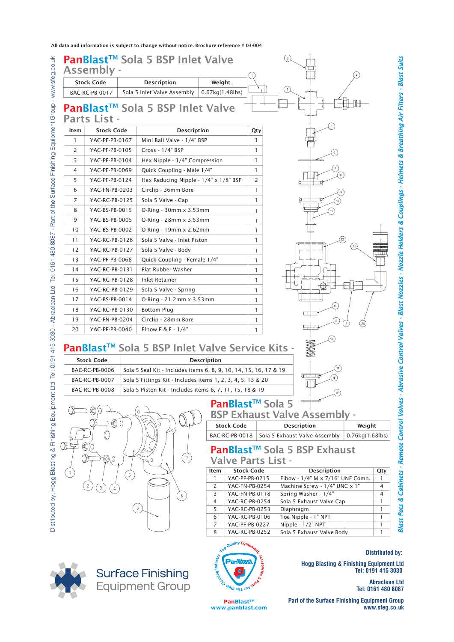All data and information is subject to change without notice. Brochure reference # 03-004



**Equipment Group** 

**PanBlast™ www.panblast.com**

**Tel: 0161 480 8087 Part of the Surface Finishing Equipment Group**

*binets - Remote Control Valves - Abrasive Control Valves - Blast Nozzles - Nozzle Holders & Couplings - Helmets & Breathing Air Filters - Blast Suits*

*A*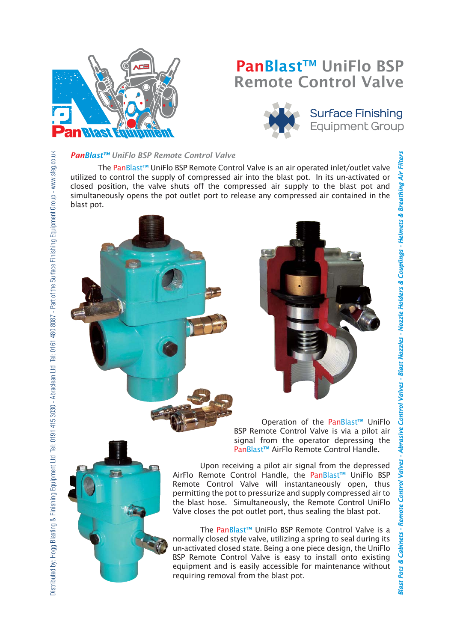

# PanBlast™ UniFlo BSP Remote Control Valve



# **Surface Finishing Equipment Group**

### *PanBlast™ UniFlo BSP Remote Control Valve*

The PanBlast™ UniFlo BSP Remote Control Valve is an air operated inlet/outlet valve utilized to control the supply of compressed air into the blast pot. In its un-activated or closed position, the valve shuts off the compressed air supply to the blast pot and simultaneously opens the pot outlet port to release any compressed air contained in the blast pot.

> Operation of the PanBlast™ UniFlo BSP Remote Control Valve is via a pilot air signal from the operator depressing the PanBlast™ AirFlo Remote Control Handle.

> > **Blast Pots & Cabinets -**

**Blast Pots & Cabinets - Remote Control Valves** 

*binets Remote Control Valves - Abrasive Control Valves - Blast Nozzles - Nozzle Holders & Couplings - Helmets & Breathing Air Filters A*

*brasive* 

- Abrasive Control Valves - Blast Nozzles - Nozzle Holders & Couplings - Helmets & Breathing Air

Upon receiving a pilot air signal from the depressed AirFlo Remote Control Handle, the PanBlast™ UniFlo BSP Remote Control Valve will instantaneously open, thus permitting the pot to pressurize and supply compressed air to the blast hose. Simultaneously, the Remote Control UniFlo Valve closes the pot outlet port, thus sealing the blast pot.

The PanBlast™ UniFlo BSP Remote Control Valve is a normally closed style valve, utilizing a spring to seal during its un-activated closed state. Being a one piece design, the UniFlo BSP Remote Control Valve is easy to install onto existing equipment and is easily accessible for maintenance without requiring removal from the blast pot.